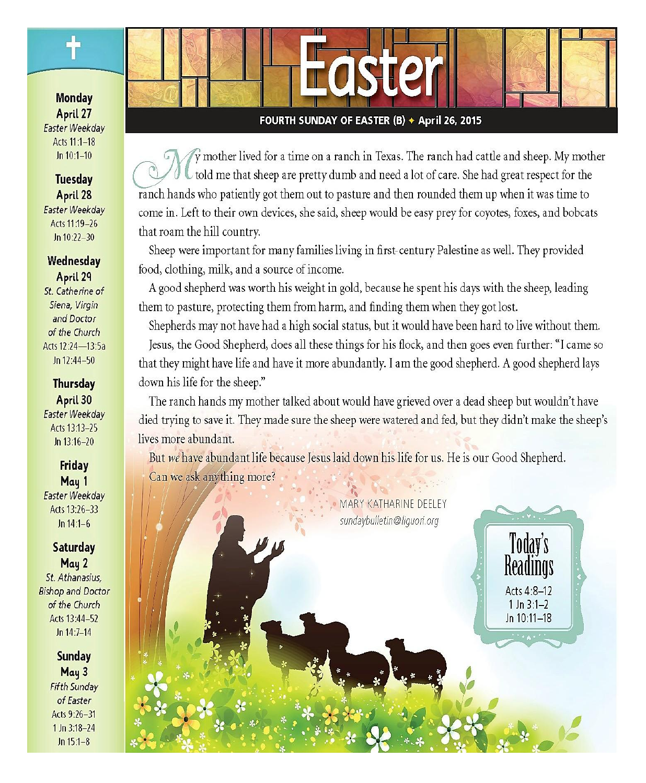**Monday** April 27 **Easter Weekday** Acts 11:1-18  $ln 10:1 - 10$ 

#### **Tuesday** April 28 Easter Weekday Acts 11:19-26 Jn  $10:22 - 30$

#### Wednesday April 29 St. Catherine of Siena, Virgin and Doctor of the Church Acts 12:24-13:5a Jn 12:44-50

**Thursday** April 30 Easter Weekday Acts 13:13-25  $ln 13:16-20$ 

**Friday** May 1 Easter Weekdav Acts 13:26-33  $Jn 14:1-6$ 

**Saturday** May 2 St. Athanasius, **Bishop and Doctor** of the Church Acts 13:44-52 Jn 14:7-14

> **Sunday** May 3 **Fifth Sunday** of Easter Acts 9:26-31  $1$  Jn  $3:18-24$  $Jn 15:1-8$

#### FOURTH SUNDAY OF EASTER (B) + April 26, 2015

 $\hat{y}$  mother lived for a time on a ranch in Texas. The ranch had cattle and sheep. My mother told me that sheep are pretty dumb and need a lot of care. She had great respect for the ranch hands who patiently got them out to pasture and then rounded them up when it was time to come in. Left to their own devices, she said, sheep would be easy prey for coyotes, foxes, and bobcats that roam the hill country.

Sheep were important for many families living in first-century Palestine as well. They provided food, clothing, milk, and a source of income.

A good shepherd was worth his weight in gold, because he spent his days with the sheep, leading them to pasture, protecting them from harm, and finding them when they got lost.

Shepherds may not have had a high social status, but it would have been hard to live without them. Jesus, the Good Shepherd, does all these things for his flock, and then goes even further: "I came so that they might have life and have it more abundantly. I am the good shepherd. A good shepherd lays down his life for the sheep."

The ranch hands my mother talked about would have grieved over a dead sheep but wouldn't have died trying to save it. They made sure the sheep were watered and fed, but they didn't make the sheep's lives more abundant.

But we have abundant life because Jesus laid down his life for us. He is our Good Shepherd. Can we ask anything more?

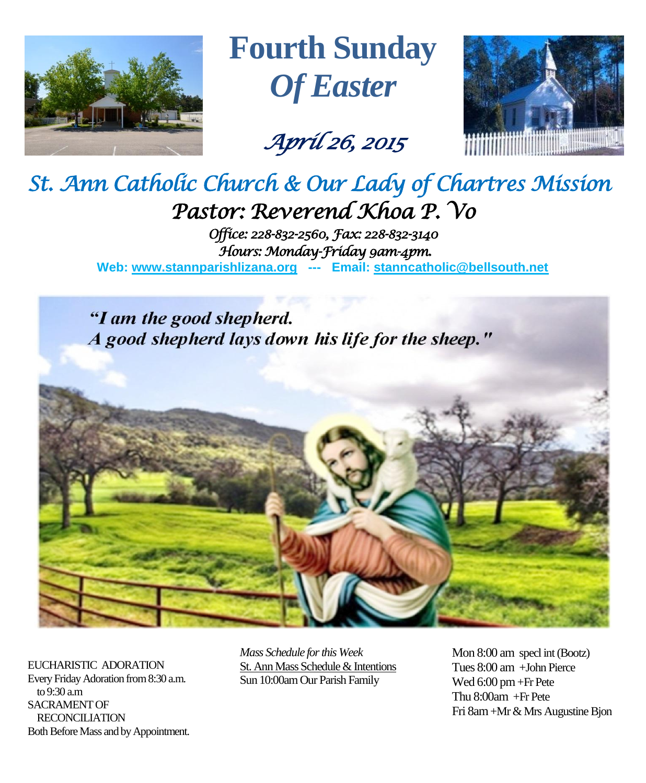

**Fourth Sunday** *Of Easter*

*April 26, 2015* 



# *St. Ann Catholic Church & Our Lady of Chartres Mission Pastor: Reverend Khoa P. Vo*

*Office: 228-832-2560, Fax: 228-832-3140 Hours: Monday-Friday 9am-4pm.*  **Web: www.stannparishlizana.org --- Email: [stanncatholic@bellsouth.net](mailto:stanncatholic@bellsouth.net)**

"I am the good shepherd. A good shepherd lays down his life for the sheep."

EUCHARISTIC ADORATION Every Friday Adoration from 8:30 a.m. to 9:30 a.m SACRAMENT OF RECONCILIATION Both Before Mass and by Appointment. *Mass Schedule for this Week*  St. Ann Mass Schedule & Intentions Sun 10:00am Our Parish Family

Mon 8:00 am specl int (Bootz) Tues 8:00 am +John Pierce Wed 6:00 pm +Fr Pete Thu 8:00am +Fr Pete Fri 8am+Mr & Mrs Augustine Bjon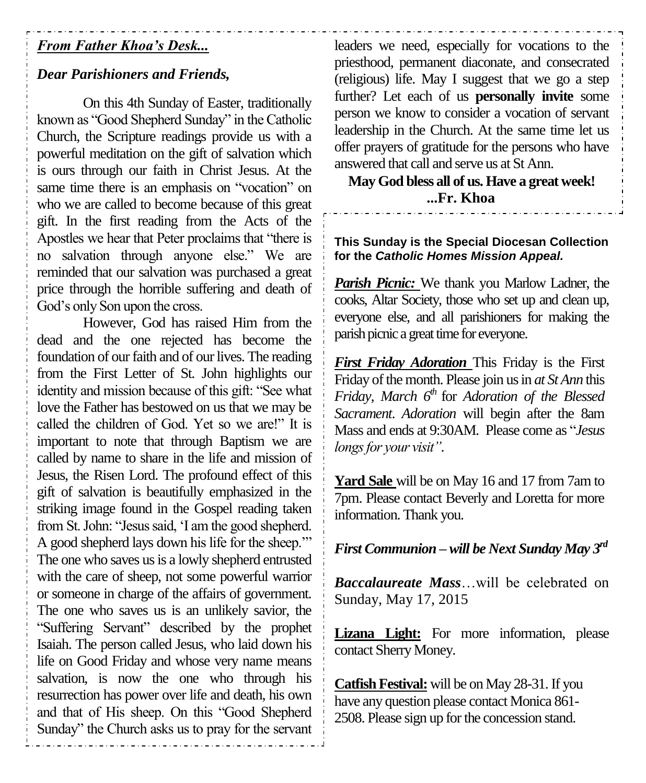## *From Father Khoa's Desk...*

# *Dear Parishioners and Friends,*

On this 4th Sunday of Easter, traditionally known as "Good Shepherd Sunday" in the Catholic Church, the Scripture readings provide us with a powerful meditation on the gift of salvation which is ours through our faith in Christ Jesus. At the same time there is an emphasis on "vocation" on who we are called to become because of this great gift. In the first reading from the Acts of the Apostles we hear that Peter proclaims that "there is no salvation through anyone else." We are reminded that our salvation was purchased a great price through the horrible suffering and death of God's only Son upon the cross.

However, God has raised Him from the dead and the one rejected has become the foundation of our faith and of our lives. The reading from the First Letter of St. John highlights our identity and mission because of this gift: "See what love the Father has bestowed on us that we may be called the children of God. Yet so we are!" It is important to note that through Baptism we are called by name to share in the life and mission of Jesus, the Risen Lord. The profound effect of this gift of salvation is beautifully emphasized in the striking image found in the Gospel reading taken from St. John: "Jesus said, 'I am the good shepherd. A good shepherd lays down his life for the sheep.'" The one who saves us is a lowly shepherd entrusted with the care of sheep, not some powerful warrior or someone in charge of the affairs of government. The one who saves us is an unlikely savior, the "Suffering Servant" described by the prophet Isaiah. The person called Jesus, who laid down his life on Good Friday and whose very name means salvation, is now the one who through his resurrection has power over life and death, his own and that of His sheep. On this "Good Shepherd Sunday" the Church asks us to pray for the servant

leaders we need, especially for vocations to the priesthood, permanent diaconate, and consecrated (religious) life. May I suggest that we go a step further? Let each of us **personally invite** some person we know to consider a vocation of servant leadership in the Church. At the same time let us offer prayers of gratitude for the persons who have answered that call and serve us at St Ann.

**May God bless all of us. Have a great week! ...Fr. Khoa**

#### **This Sunday is the Special Diocesan Collection for the** *Catholic Homes Mission Appeal.*

*Parish Picnic:* We thank you Marlow Ladner, the cooks, Altar Society, those who set up and clean up, everyone else, and all parishioners for making the parish picnic a great time for everyone.

*First Friday Adoration* This Friday is the First Friday of the month. Please join us in *at St Ann* this *Friday, March 6<sup>th</sup>* for *Adoration of the Blessed Sacrament*. *Adoration* will begin after the 8am Mass and ends at 9:30AM. Please come as "*Jesus longs for your visit"*.

**Yard Sale** will be on May 16 and 17 from 7am to 7pm. Please contact Beverly and Loretta for more information. Thank you.

# *First Communion – will be Next Sunday May 3rd*

*Baccalaureate Mass*…will be celebrated on Sunday, May 17, 2015

**Lizana Light:** For more information, please contact Sherry Money.

**Catfish Festival:** will be on May 28-31. If you have any question please contact Monica 861- 2508. Please sign up for the concession stand.